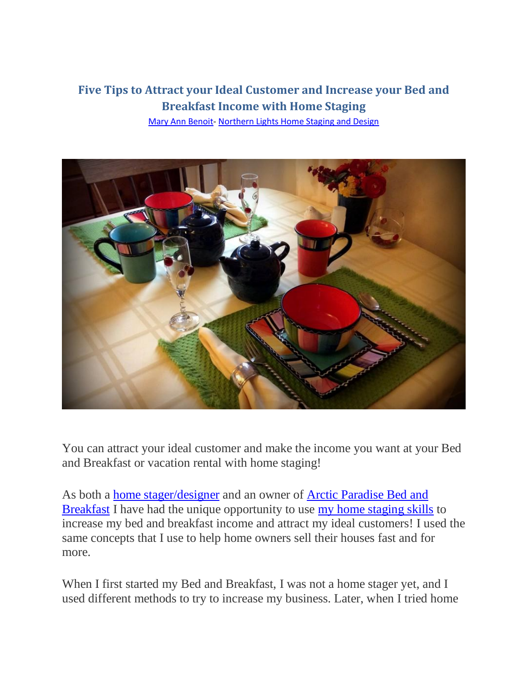# **Five Tips to Attract your Ideal Customer and Increase your Bed and Breakfast Income with Home Staging**

[Mary Ann Benoit-](https://northernlightsstaging.com/about-us-maryannbenoit/) [Northern Lights Home Staging and Design](http://www.northernlightsstaging.com/)



You can attract your ideal customer and make the income you want at your Bed and Breakfast or vacation rental with home staging!

As both a [home stager/designer](http://www.northernlightsstaging.com/) and an owner of [Arctic Paradise](http://www.arcticparadise.com/) Bed and [Breakfast](http://www.arcticparadise.com/) I have had the unique opportunity to use [my home staging skills](https://northernlightsstaging.com/portfolio/) to increase my bed and breakfast income and attract my ideal customers! I used the same concepts that I use to help home owners sell their houses fast and for more.

When I first started my Bed and Breakfast, I was not a home stager yet, and I used different methods to try to increase my business. Later, when I tried home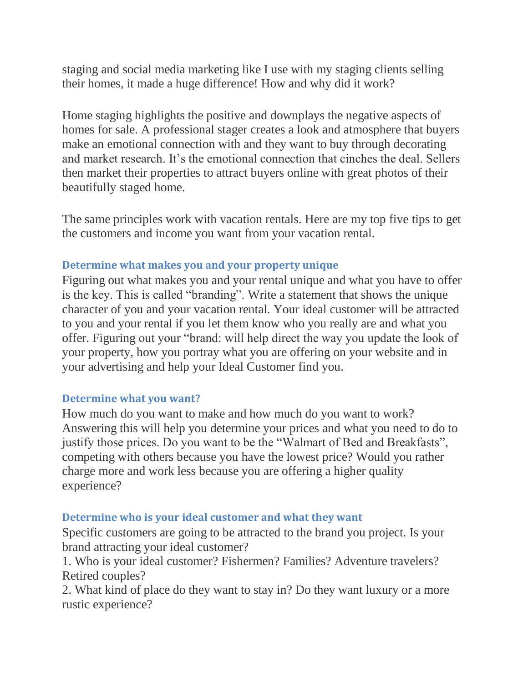staging and social media marketing like I use with my staging clients selling their homes, it made a huge difference! How and why did it work?

Home staging highlights the positive and downplays the negative aspects of homes for sale. A professional stager creates a look and atmosphere that buyers make an emotional connection with and they want to buy through decorating and market research. It's the emotional connection that cinches the deal. Sellers then market their properties to attract buyers online with great photos of their beautifully staged home.

The same principles work with vacation rentals. Here are my top five tips to get the customers and income you want from your vacation rental.

### **Determine what makes you and your property unique**

Figuring out what makes you and your rental unique and what you have to offer is the key. This is called "branding". Write a statement that shows the unique character of you and your vacation rental. Your ideal customer will be attracted to you and your rental if you let them know who you really are and what you offer. Figuring out your "brand: will help direct the way you update the look of your property, how you portray what you are offering on your website and in your advertising and help your Ideal Customer find you.

#### **Determine what you want?**

How much do you want to make and how much do you want to work? Answering this will help you determine your prices and what you need to do to justify those prices. Do you want to be the "Walmart of Bed and Breakfasts", competing with others because you have the lowest price? Would you rather charge more and work less because you are offering a higher quality experience?

#### **Determine who is your ideal customer and what they want**

Specific customers are going to be attracted to the brand you project. Is your brand attracting your ideal customer?

1. Who is your ideal customer? Fishermen? Families? Adventure travelers? Retired couples?

2. What kind of place do they want to stay in? Do they want luxury or a more rustic experience?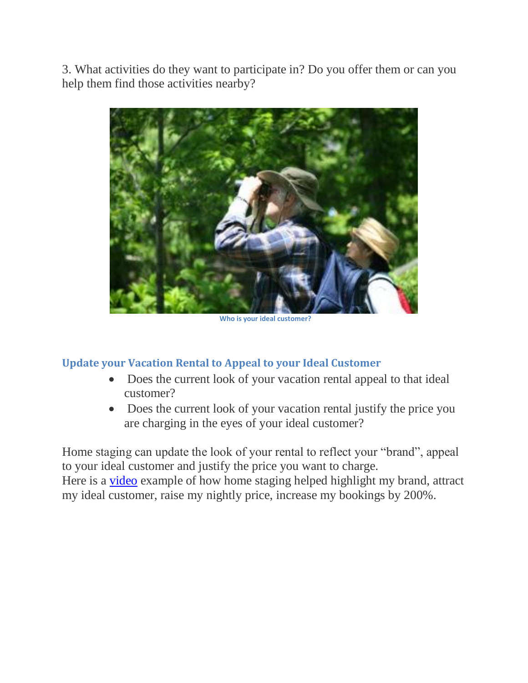3. What activities do they want to participate in? Do you offer them or can you help them find those activities nearby?



**Who is your ideal customer?**

#### **Update your Vacation Rental to Appeal to your Ideal Customer**

- Does the current look of your vacation rental appeal to that ideal customer?
- Does the current look of your vacation rental justify the price you are charging in the eyes of your ideal customer?

Home staging can update the look of your rental to reflect your "brand", appeal to your ideal customer and justify the price you want to charge.

Here is a [video](https://www.youtube.com/watch?v=0yLN-1SGU0s) example of how home staging helped highlight my brand, attract my ideal customer, raise my nightly price, increase my bookings by 200%.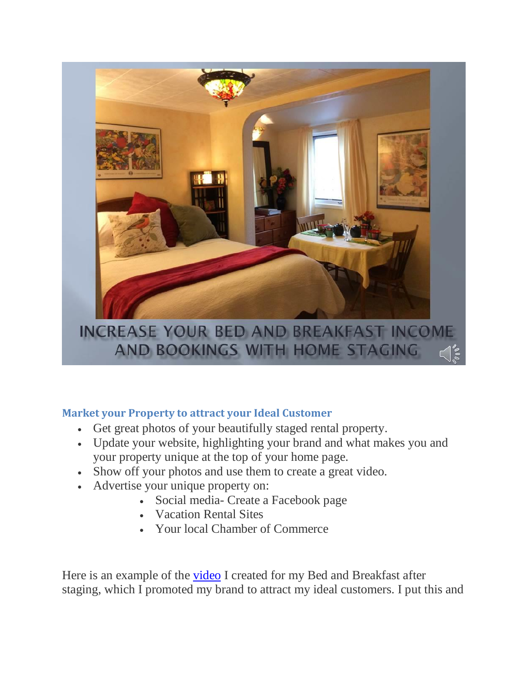

## **Market your Property to attract your Ideal Customer**

- Get great photos of your beautifully staged rental property.
- Update your website, highlighting your brand and what makes you and your property unique at the top of your home page.
- Show off your photos and use them to create a great video.
- Advertise your unique property on:
	- Social media- Create a Facebook page
	- Vacation Rental Sites
	- Your local Chamber of Commerce

Here is an example of the **video** I created for my Bed and Breakfast after staging, which I promoted my brand to attract my ideal customers. I put this and